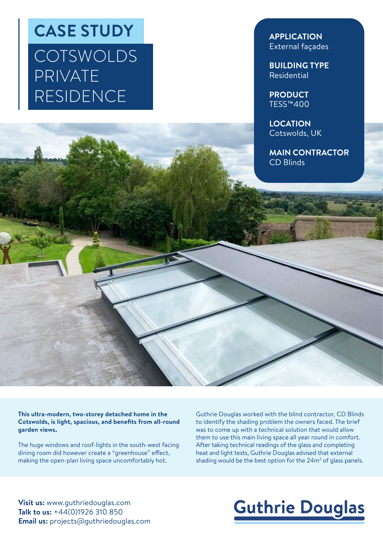## **CASE STUDY COTSWOLDS** PRIVATE RESIDENCE

**APPLICATION** External façades

**BUILDING TYPE** Residential

**PRODUCT** TESS™400

**LOCATION** Cotswolds, UK

**MAIN CONTRACTOR** CD Blinds

**This ultra-modern, two-storey detached home in the Cotswolds, is light, spacious, and benefits from all-round garden views.**

The huge windows and roof-lights in the south-west facing dining room did however create a "greenhouse" effect, making the open-plan living space uncomfortably hot.

Guthrie Douglas worked with the blind contractor, CD Blinds to identify the shading problem the owners faced. The brief was to come up with a technical solution that would allow them to use this main living space all year round in comfort. After taking technical readings of the glass and completing heat and light tests, Guthrie Douglas advised that external shading would be the best option for the  $24m^2$  of glass panels.

**Visit us:** www.guthriedouglas.com **Talk to us:** +44(0)1926 310 850 **Email us:** projects@guthriedouglas.com